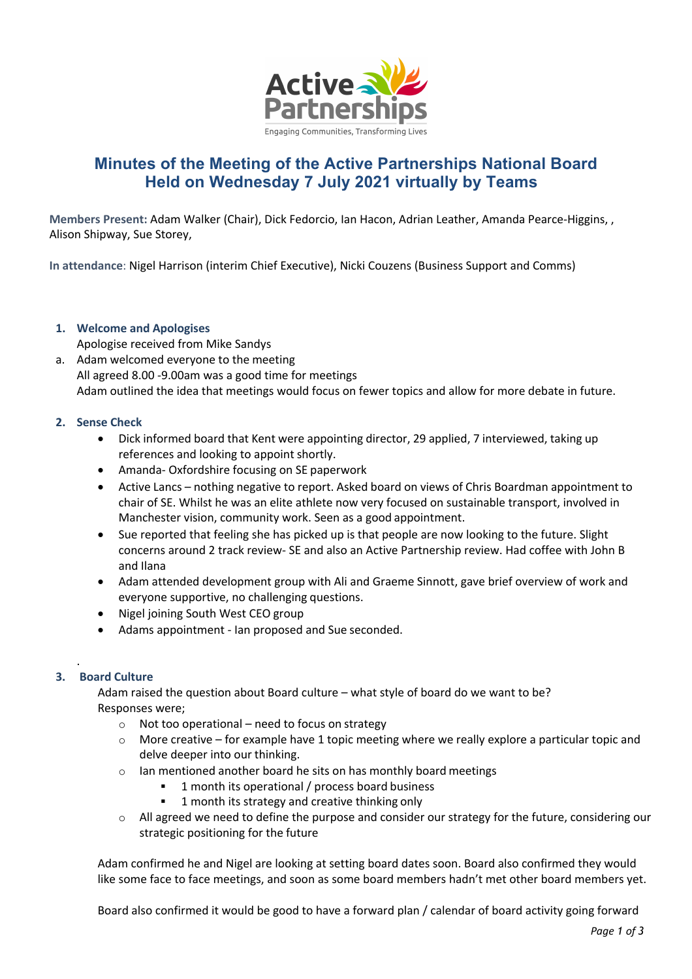

# **Minutes of the Meeting of the Active Partnerships National Board Held on Wednesday 7 July 2021 virtually by Teams**

**Members Present:** Adam Walker (Chair), Dick Fedorcio, Ian Hacon, Adrian Leather, Amanda Pearce-Higgins, , Alison Shipway, Sue Storey,

**In attendance**: Nigel Harrison (interim Chief Executive), Nicki Couzens (Business Support and Comms)

# **1. Welcome and Apologises**

Apologise received from Mike Sandys a. Adam welcomed everyone to the meeting All agreed 8.00 -9.00am was a good time for meetings Adam outlined the idea that meetings would focus on fewer topics and allow for more debate in future.

# **2. Sense Check**

- Dick informed board that Kent were appointing director, 29 applied, 7 interviewed, taking up references and looking to appoint shortly.
- Amanda- Oxfordshire focusing on SE paperwork
- Active Lancs nothing negative to report. Asked board on views of Chris Boardman appointment to chair of SE. Whilst he was an elite athlete now very focused on sustainable transport, involved in Manchester vision, community work. Seen as a good appointment.
- Sue reported that feeling she has picked up is that people are now looking to the future. Slight concerns around 2 track review- SE and also an Active Partnership review. Had coffee with John B and Ilana
- Adam attended development group with Ali and Graeme Sinnott, gave brief overview of work and everyone supportive, no challenging questions.
- Nigel joining South West CEO group
- Adams appointment Ian proposed and Sue seconded.

# **3. Board Culture**

.

Adam raised the question about Board culture – what style of board do we want to be? Responses were;

- $\circ$  Not too operational need to focus on strategy
- o More creative for example have 1 topic meeting where we really explore a particular topic and delve deeper into our thinking.
- o Ian mentioned another board he sits on has monthly board meetings
	- § 1 month its operational / process board business
	- 1 month its strategy and creative thinking only
- $\circ$  All agreed we need to define the purpose and consider our strategy for the future, considering our strategic positioning for the future

Adam confirmed he and Nigel are looking at setting board dates soon. Board also confirmed they would like some face to face meetings, and soon as some board members hadn't met other board members yet.

Board also confirmed it would be good to have a forward plan / calendar of board activity going forward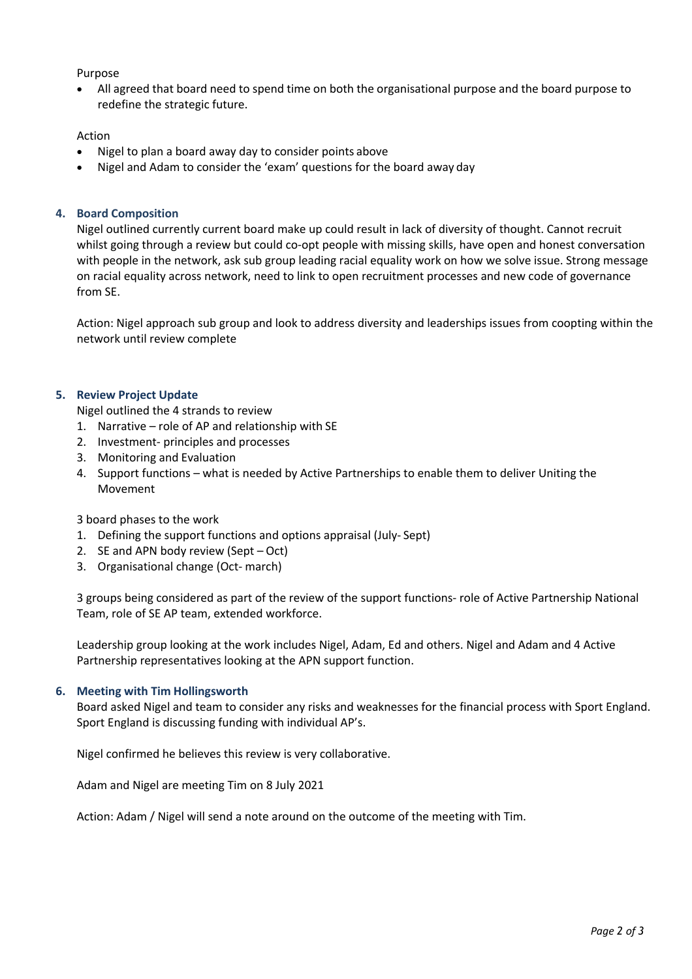## Purpose

• All agreed that board need to spend time on both the organisational purpose and the board purpose to redefine the strategic future.

## Action

- Nigel to plan a board away day to consider points above
- Nigel and Adam to consider the 'exam' questions for the board away day

## **4. Board Composition**

Nigel outlined currently current board make up could result in lack of diversity of thought. Cannot recruit whilst going through a review but could co-opt people with missing skills, have open and honest conversation with people in the network, ask sub group leading racial equality work on how we solve issue. Strong message on racial equality across network, need to link to open recruitment processes and new code of governance from SE.

Action: Nigel approach sub group and look to address diversity and leaderships issues from coopting within the network until review complete

## **5. Review Project Update**

Nigel outlined the 4 strands to review

- 1. Narrative role of AP and relationship with SE
- 2. Investment- principles and processes
- 3. Monitoring and Evaluation
- 4. Support functions what is needed by Active Partnerships to enable them to deliver Uniting the Movement

### 3 board phases to the work

- 1. Defining the support functions and options appraisal (July- Sept)
- 2. SE and APN body review (Sept Oct)
- 3. Organisational change (Oct- march)

3 groups being considered as part of the review of the support functions- role of Active Partnership National Team, role of SE AP team, extended workforce.

Leadership group looking at the work includes Nigel, Adam, Ed and others. Nigel and Adam and 4 Active Partnership representatives looking at the APN support function.

### **6. Meeting with Tim Hollingsworth**

Board asked Nigel and team to consider any risks and weaknesses for the financial process with Sport England. Sport England is discussing funding with individual AP's.

Nigel confirmed he believes this review is very collaborative.

Adam and Nigel are meeting Tim on 8 July 2021

Action: Adam / Nigel will send a note around on the outcome of the meeting with Tim.